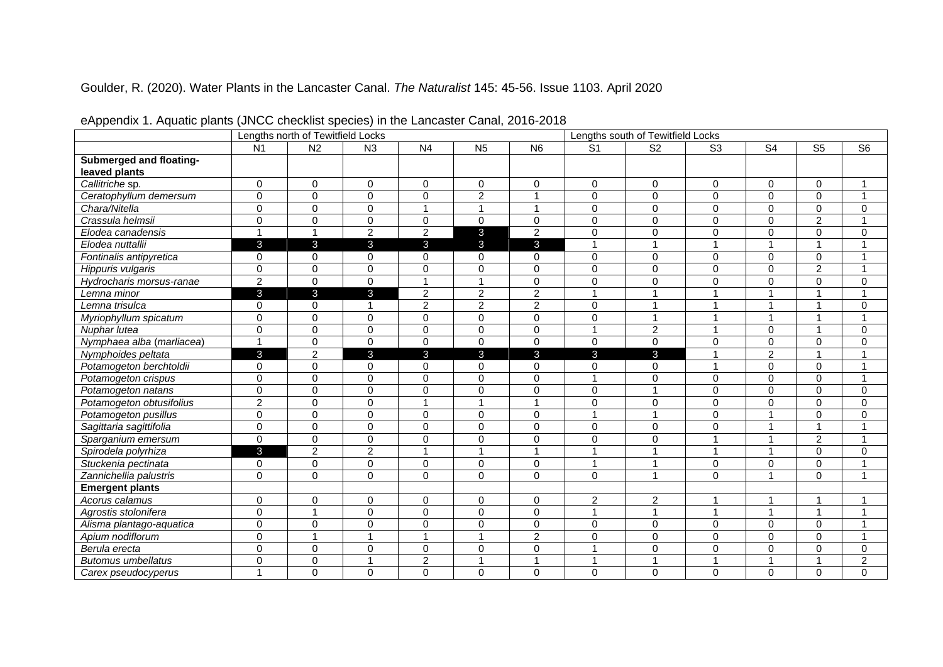## Goulder, R. (2020). Water Plants in the Lancaster Canal. *The Naturalist* 145: 45-56. Issue 1103. April 2020

| . .                       |                | Lengths north of Tewitfield Locks |                |                  | Lengths south of Tewitfield Locks |                |                |                         |                        |                          |                        |                |
|---------------------------|----------------|-----------------------------------|----------------|------------------|-----------------------------------|----------------|----------------|-------------------------|------------------------|--------------------------|------------------------|----------------|
|                           | N <sub>1</sub> | N <sub>2</sub>                    | N3             | N <sub>4</sub>   | N <sub>5</sub>                    | N <sub>6</sub> | S <sub>1</sub> | S <sub>2</sub>          | $\overline{\text{S3}}$ | $\overline{\mathsf{S}4}$ | $\overline{\text{S5}}$ | S <sub>6</sub> |
| Submerged and floating-   |                |                                   |                |                  |                                   |                |                |                         |                        |                          |                        |                |
| leaved plants             |                |                                   |                |                  |                                   |                |                |                         |                        |                          |                        |                |
| Callitriche sp.           | $\Omega$       | $\mathbf 0$                       | $\Omega$       | $\mathbf 0$      | $\Omega$                          | $\mathbf 0$    | $\Omega$       | $\Omega$                | $\Omega$               | $\Omega$                 | $\mathbf 0$            | $\mathbf{1}$   |
| Ceratophyllum demersum    | $\overline{0}$ | $\mathbf 0$                       | $\Omega$       | $\mathbf 0$      | $\overline{2}$                    | $\overline{1}$ | $\Omega$       | $\Omega$                | $\Omega$               | $\Omega$                 | $\mathbf 0$            | $\mathbf{1}$   |
| Chara/Nitella             | $\Omega$       | $\pmb{0}$                         | $\mathbf 0$    | $\mathbf{1}$     | $\mathbf{1}$                      | $\overline{1}$ | $\mathbf 0$    | $\Omega$                | $\Omega$               | $\Omega$                 | $\pmb{0}$              | $\mathbf 0$    |
| Crassula helmsii          | 0              | $\pmb{0}$                         | $\mathbf 0$    | 0                | $\Omega$                          | $\mathbf 0$    | $\mathbf 0$    | $\Omega$                | $\Omega$               | $\Omega$                 | $\overline{c}$         | $\mathbf{1}$   |
| Elodea canadensis         | $\mathbf{1}$   | $\mathbf{1}$                      | $\overline{2}$ | $\overline{2}$   | 3                                 | $\overline{c}$ | $\mathbf 0$    | 0                       | $\Omega$               | $\Omega$                 | $\pmb{0}$              | $\mathbf 0$    |
| Elodea nuttallii          | $\mathbf{3}$   | $\mathbf{3}$                      | $\mathbf{3}$   | $\mathbf{3}$     | $\mathbf{3}$                      | $\mathbf{3}$   | 1              | 1                       |                        | $\overline{ }$           | $\mathbf{1}$           | $\mathbf{1}$   |
| Fontinalis antipyretica   | 0              | 0                                 | 0              | 0                | 0                                 | 0              | $\mathbf 0$    | 0                       | $\mathbf 0$            | $\mathbf 0$              | $\pmb{0}$              | $\mathbf{1}$   |
| Hippuris vulgaris         | $\Omega$       | $\mathbf 0$                       | $\mathbf 0$    | 0                | $\Omega$                          | $\overline{0}$ | $\Omega$       | $\Omega$                | $\Omega$               | $\Omega$                 | $\overline{2}$         | $\mathbf{1}$   |
| Hydrocharis morsus-ranae  | $\overline{2}$ | $\mathbf{0}$                      | $\Omega$       | $\mathbf{1}$     | $\mathbf{1}$                      | $\mathbf 0$    | $\Omega$       | $\Omega$                | $\Omega$               | $\Omega$                 | $\mathbf 0$            | $\mathbf 0$    |
| Lemna minor               | $\mathbf{3}$   | $\mathbf{3}$                      | $\mathbf{3}$   | $\overline{c}$   | $\overline{2}$                    | $\overline{2}$ | $\overline{1}$ | 1                       | 1                      | $\overline{A}$           | $\mathbf{1}$           | $\mathbf{1}$   |
| Lemna trisulca            | 0              | 0                                 | -1             | $\overline{c}$   | $\overline{2}$                    | $\overline{2}$ | $\Omega$       | 1                       | 1                      | 1                        | $\mathbf{1}$           | $\mathbf 0$    |
| Myriophyllum spicatum     | 0              | $\pmb{0}$                         | $\mathbf 0$    | 0                | $\mathbf 0$                       | $\mathbf 0$    | $\mathbf 0$    | 1                       | 1                      | 1                        | $\mathbf{1}$           | $\mathbf{1}$   |
| Nuphar lutea              | 0              | $\pmb{0}$                         | $\mathbf 0$    | 0                | $\mathbf 0$                       | $\mathbf 0$    | 1              | $\overline{c}$          | 1                      | $\mathbf 0$              | $\mathbf{1}$           | 0              |
| Nymphaea alba (marliacea) | $\mathbf{1}$   | $\mathbf 0$                       | $\Omega$       | $\Omega$         | $\Omega$                          | $\Omega$       | $\Omega$       | $\Omega$                | $\Omega$               | $\Omega$                 | $\mathbf 0$            | $\mathbf 0$    |
| Nymphoides peltata        | 3              | $\overline{2}$                    | $\mathbf{3}$   | $\mathbf{3}$     | 3                                 | 3              | $\mathbf{3}$   | 3                       | 1                      | $\overline{2}$           | $\mathbf{1}$           | $\mathbf{1}$   |
| Potamogeton berchtoldii   | 0              | $\pmb{0}$                         | $\mathbf 0$    | $\mathbf 0$      | $\mathbf 0$                       | $\mathbf 0$    | 0              | 0                       | 1                      | $\Omega$                 | $\mathbf 0$            | $\mathbf{1}$   |
| Potamogeton crispus       | $\Omega$       | $\pmb{0}$                         | $\mathbf 0$    | 0                | 0                                 | $\mathbf 0$    | 1              | 0                       | $\Omega$               | $\Omega$                 | $\mathbf 0$            | $\mathbf{1}$   |
| Potamogeton natans        | 0              | $\pmb{0}$                         | $\mathbf 0$    | 0                | 0                                 | $\mathbf 0$    | $\mathbf 0$    | $\mathbf{1}$            | $\Omega$               | $\Omega$                 | $\mathbf 0$            | $\mathbf 0$    |
| Potamogeton obtusifolius  | $\overline{2}$ | $\pmb{0}$                         | $\mathbf 0$    | $\mathbf{1}$     | $\overline{1}$                    | $\overline{1}$ | $\mathbf 0$    | 0                       | $\Omega$               | $\mathbf 0$              | $\mathbf 0$            | $\pmb{0}$      |
| Potamogeton pusillus      | 0              | $\mathbf 0$                       | $\Omega$       | 0                | $\Omega$                          | $\Omega$       | 1              | 1                       | $\Omega$               |                          | 0                      | $\mathbf 0$    |
| Sagittaria sagittifolia   | 0              | $\mathbf 0$                       | $\Omega$       | 0                | $\Omega$                          | $\mathbf 0$    | $\Omega$       | $\Omega$                | $\Omega$               |                          | $\mathbf{1}$           | $\mathbf{1}$   |
| Sparganium emersum        | $\Omega$       | $\mathbf 0$                       | $\Omega$       | 0                | $\Omega$                          | $\mathbf 0$    | $\Omega$       | $\Omega$                | 1                      |                          | $\overline{2}$         | $\mathbf{1}$   |
| Spirodela polyrhiza       | 3              | $\overline{2}$                    | $\overline{2}$ | $\mathbf{1}$     | $\overline{1}$                    | $\overline{1}$ | 1              | 1                       | 1                      |                          | $\mathbf 0$            | $\mathbf 0$    |
| Stuckenia pectinata       | 0              | $\pmb{0}$                         | 0              | 0                | 0                                 | $\mathbf 0$    | 1              | 1                       | $\Omega$               | 0                        | 0                      | 1              |
| Zannichellia palustris    | 0              | $\mathbf 0$                       | $\mathbf 0$    | 0                | 0                                 | $\mathbf 0$    | 0              | $\mathbf{1}$            | $\Omega$               | 1                        | $\mathbf 0$            | $\mathbf{1}$   |
| <b>Emergent plants</b>    |                |                                   |                |                  |                                   |                |                |                         |                        |                          |                        |                |
| Acorus calamus            | 0              | $\mathbf 0$                       | $\Omega$       | 0                | $\Omega$                          | $\mathbf 0$    | $\overline{c}$ | $\overline{\mathbf{c}}$ | 1                      |                          | 1                      |                |
| Agrostis stolonifera      | $\overline{0}$ | $\overline{1}$                    | $\Omega$       | 0                | $\Omega$                          | $\mathbf 0$    | $\overline{1}$ | $\mathbf{1}$            | 1                      |                          | $\mathbf{1}$           | $\overline{1}$ |
| Alisma plantago-aquatica  | $\Omega$       | $\mathbf 0$                       | $\Omega$       | 0                | $\Omega$                          | $\mathbf 0$    | $\Omega$       | $\Omega$                | $\Omega$               | $\Omega$                 | 0                      | 1              |
| Apium nodiflorum          | 0              | $\mathbf{1}$                      | 1              | $\mathbf{1}$     | 1                                 | $\overline{c}$ | 0              | $\Omega$                | $\Omega$               | $\Omega$                 | 0                      | $\mathbf{1}$   |
| Berula erecta             | 0              | $\mathbf 0$                       | $\Omega$       | $\mathbf 0$      | $\Omega$                          | $\mathbf 0$    | ۸              | 0                       | $\Omega$               | 0                        | 0                      | $\mathbf 0$    |
| <b>Butomus umbellatus</b> | 0              | $\pmb{0}$                         | 1              | $\boldsymbol{2}$ |                                   | 1              | ۸              | 1                       |                        |                          | 1                      | $\overline{c}$ |
| Carex pseudocyperus       | $\mathbf{1}$   | $\Omega$                          | $\Omega$       | $\Omega$         | $\Omega$                          | $\Omega$       | 0              | $\Omega$                | $\Omega$               | 0                        | $\Omega$               | $\Omega$       |

eAppendix 1. Aquatic plants (JNCC checklist species) in the Lancaster Canal, 2016-2018